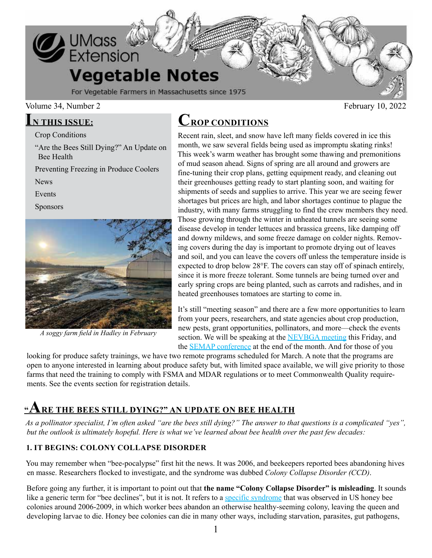

#### Volume 34, Number 2 February 10, 2022

# **IN THIS ISSUE:**

Crop Conditions

"Are the Bees Still Dying?" An Update on Bee Health

Preventing Freezing in Produce Coolers

News

Events

Sponsors



*A soggy farm field in Hadley in February*

# **CROP CONDITIONS**

Recent rain, sleet, and snow have left many fields covered in ice this month, we saw several fields being used as impromptu skating rinks! This week's warm weather has brought some thawing and premonitions of mud season ahead. Signs of spring are all around and growers are fine-tuning their crop plans, getting equipment ready, and cleaning out their greenhouses getting ready to start planting soon, and waiting for shipments of seeds and supplies to arrive. This year we are seeing fewer shortages but prices are high, and labor shortages continue to plague the industry, with many farms struggling to find the crew members they need. Those growing through the winter in unheated tunnels are seeing some disease develop in tender lettuces and brassica greens, like damping off and downy mildews, and some freeze damage on colder nights. Removing covers during the day is important to promote drying out of leaves and soil, and you can leave the covers off unless the temperature inside is expected to drop below 28°F. The covers can stay off of spinach entirely, since it is more freeze tolerant. Some tunnels are being turned over and early spring crops are being planted, such as carrots and radishes, and in heated greenhouses tomatoes are starting to come in.

It's still "meeting season" and there are a few more opportunities to learn from your peers, researchers, and state agencies about crop production, new pests, grant opportunities, pollinators, and more—check the events section. We will be speaking at the [NEVBGA meeting](https://ag.umass.edu/vegetable/events/nevbga-cooperative-extension-604th-growers-meeting) this Friday, and the [SEMAP conference](https://semaponline.org/2022-agriculture-food-conference/) at the end of the month. And for those of you

looking for produce safety trainings, we have two remote programs scheduled for March. A note that the programs are open to anyone interested in learning about produce safety but, with limited space available, we will give priority to those farms that need the training to comply with FSMA and MDAR regulations or to meet Commonwealth Quality requirements. See the events section for registration details.

# **"ARE THE BEES STILL DYING?" AN UPDATE ON BEE HEALTH**

*As a pollinator specialist, I'm often asked "are the bees still dying?" The answer to that questions is a complicated "yes", but the outlook is ultimately hopeful. Here is what we've learned about bee health over the past few decades:*

# **1. IT BEGINS: COLONY COLLAPSE DISORDER**

You may remember when "bee-pocalypse" first hit the news. It was 2006, and beekeepers reported bees abandoning hives en masse. Researchers flocked to investigate, and the syndrome was dubbed *Colony Collapse Disorder (CCD)*.

Before going any further, it is important to point out that **the name "Colony Collapse Disorder" is misleading**. It sounds like a generic term for "bee declines", but it is not. It refers to a [specific syndrome](https://www.tandfonline.com/doi/abs/10.3896/IBRA.1.49.1.30) that was observed in US honey bee colonies around 2006-2009, in which worker bees abandon an otherwise healthy-seeming colony, leaving the queen and developing larvae to die. Honey bee colonies can die in many other ways, including starvation, parasites, gut pathogens,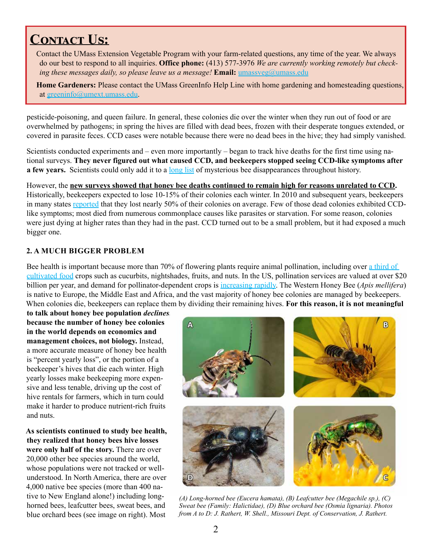# **CONTACT US:**

Contact the UMass Extension Vegetable Program with your farm-related questions, any time of the year. We always do our best to respond to all inquiries. **Office phone:** (413) 577-3976 *We are currently working remotely but checking these messages daily, so please leave us a message!* **Email:** [umassveg@umass.edu](mailto:umassveg%40umass.edu?subject=)

**Home Gardeners:** Please contact the UMass GreenInfo Help Line with home gardening and homesteading questions, at [greeninfo@umext.umass.edu](mailto:greeninfo@umext.umass.edu).

pesticide-poisoning, and queen failure. In general, these colonies die over the winter when they run out of food or are overwhelmed by pathogens; in spring the hives are filled with dead bees, frozen with their desperate tongues extended, or covered in parasite feces. CCD cases were notable because there were no dead bees in the hive; they had simply vanished.

Scientists conducted experiments and – even more importantly – began to track hive deaths for the first time using national surveys. **They never figured out what caused CCD, and beekeepers stopped seeing CCD-like symptoms after a few years.** Scientists could only add it to a [long list](https://www.researchgate.net/publication/235257051_Colony_Collapse_Disorder_Have_we_seen_this_before) of mysterious bee disappearances throughout history.

However, the **new surveys showed that honey bee deaths continued to remain high for reasons unrelated to CCD.**  Historically, beekeepers expected to lose 10-15% of their colonies each winter. In 2010 and subsequent years, beekeepers in many states [reported](https://beeinformed.org/citizen-science/loss-and-management-survey/) that they lost nearly 50% of their colonies on average. Few of those dead colonies exhibited CCDlike symptoms; most died from numerous commonplace causes like parasites or starvation. For some reason, colonies were just dying at higher rates than they had in the past. CCD turned out to be a small problem, but it had exposed a much bigger one.

# **2. A MUCH BIGGER PROBLEM**

Bee health is important because more than 70% of flowering plants require animal pollination, including over a third of [cultivated food](https://royalsocietypublishing.org/doi/10.1098/rspb.2006.3721) crops such as cucurbits, nightshades, fruits, and nuts. In the US, pollination services are valued at over \$20 billion per year, and demand for pollinator-dependent crops is [increasing rapidly](https://pubs.acs.org/doi/10.1021/es101468w). The Western Honey Bee (*Apis mellifera*) is native to Europe, the Middle East and Africa, and the vast majority of honey bee colonies are managed by beekeepers. When colonies die, beekeepers can replace them by dividing their remaining hives. **For this reason, it is not meaningful** 

**to talk about honey bee population** *declines***, because the number of honey bee colonies in the world depends on economics and management choices, not biology.** Instead, a more accurate measure of honey bee health is "percent yearly loss", or the portion of a beekeeper's hives that die each winter. High yearly losses make beekeeping more expensive and less tenable, driving up the cost of hive rentals for farmers, which in turn could make it harder to produce nutrient-rich fruits and nuts.

**As scientists continued to study bee health, they realized that honey bees hive losses were only half of the story.** There are over 20,000 other bee species around the world, whose populations were not tracked or wellunderstood. In North America, there are over 4,000 native bee species (more than 400 native to New England alone!) including longhorned bees, leafcutter bees, sweat bees, and blue orchard bees (see image on right). Most



*(A) Long-horned bee (Eucera hamata), (B) Leafcutter bee (Megachile sp.), (C) Sweat bee (Family: Halictidae), (D) Blue orchard bee (Osmia lignaria). Photos from A to D: J. Rathert, W. Shell., Missouri Dept. of Conservation, J. Rathert.*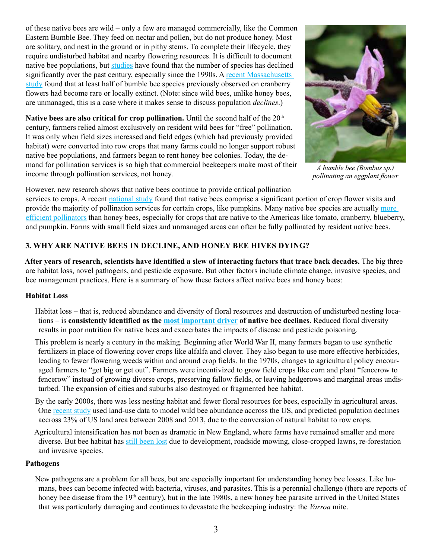of these native bees are wild – only a few are managed commercially, like the Common Eastern Bumble Bee. They feed on nectar and pollen, but do not produce honey. Most are solitary, and nest in the ground or in pithy stems. To complete their lifecycle, they require undisturbed habitat and nearby flowering resources. It is difficult to document native bee populations, but [studies](https://www.science.org/doi/10.1126/science.1255957) have found that the number of species has declined significantly over the past century, especially since the 1990s. A [recent Massachusetts](https://umaine.edu/mafes/wp-content/uploads/sites/98/2018/07/Bees-and-Their-Habitats-in-Four-New-England-States.pdf)  [study](https://umaine.edu/mafes/wp-content/uploads/sites/98/2018/07/Bees-and-Their-Habitats-in-Four-New-England-States.pdf) found that at least half of bumble bee species previously observed on cranberry flowers had become rare or locally extinct. (Note: since wild bees, unlike honey bees, are unmanaged, this is a case where it makes sense to discuss population *declines*.)

Native bees are also critical for crop pollination. Until the second half of the 20<sup>th</sup> century, farmers relied almost exclusively on resident wild bees for "free" pollination. It was only when field sizes increased and field edges (which had previously provided habitat) were converted into row crops that many farms could no longer support robust native bee populations, and farmers began to rent honey bee colonies. Today, the demand for pollination services is so high that commercial beekeepers make most of their income through pollination services, not honey.



*A bumble bee (Bombus sp.) pollinating an eggplant flower*

However, new research shows that native bees continue to provide critical pollination

services to crops. A recent [national study](https://royalsocietypublishing.org/doi/10.1098/rspb.2020.0922) found that native bees comprise a significant portion of crop flower visits and provide the majority of pollination services for certain crops, like pumpkins. Many native bee species are actually [more](https://pubs.acs.org/doi/10.1021/es101468w)  [efficient pollinators](https://pubs.acs.org/doi/10.1021/es101468w) than honey bees, especially for crops that are native to the Americas like tomato, cranberry, blueberry, and pumpkin. Farms with small field sizes and unmanaged areas can often be fully pollinated by resident native bees.

## **3. WHY ARE NATIVE BEES IN DECLINE, AND HONEY BEE HIVES DYING?**

**After years of research, scientists have identified a slew of interacting factors that trace back decades.** The big three are habitat loss, novel pathogens, and pesticide exposure. But other factors include climate change, invasive species, and bee management practices. Here is a summary of how these factors affect native bees and honey bees:

#### **Habitat Loss**

- Habitat loss that is, reduced abundance and diversity of floral resources and destruction of undisturbed nesting locations – is **consistently identified as the [most important driver](https://www.science.org/doi/10.1126/science.1255957) of native bee declines**. Reduced floral diversity results in poor nutrition for native bees and exacerbates the impacts of disease and pesticide poisoning.
- This problem is nearly a century in the making. Beginning after World War II, many farmers began to use synthetic fertilizers in place of flowering cover crops like alfalfa and clover. They also began to use more effective herbicides, leading to fewer flowering weeds within and around crop fields. In the 1970s, changes to agricultural policy encouraged farmers to "get big or get out". Farmers were incentivized to grow field crops like corn and plant "fencerow to fencerow" instead of growing diverse crops, preserving fallow fields, or leaving hedgerows and marginal areas undisturbed. The expansion of cities and suburbs also destroyed or fragmented bee habitat.
- By the early 2000s, there was less nesting habitat and fewer floral resources for bees, especially in agricultural areas. One [recent study](https://www.pnas.org/content/113/1/140) used land-use data to model wild bee abundance accross the US, and predicted population declines accross 23% of US land area between 2008 and 2013, due to the conversion of natural habitat to row crops.
- Agricultural intensification has not been as dramatic in New England, where farms have remained smaller and more diverse. But bee habitat has [still been lost](https://umaine.edu/mafes/wp-content/uploads/sites/98/2018/07/Bees-and-Their-Habitats-in-Four-New-England-States.pdf) due to development, roadside mowing, close-cropped lawns, re-forestation and invasive species.

#### **Pathogens**

New pathogens are a problem for all bees, but are especially important for understanding honey bee losses. Like humans, bees can become infected with bacteria, viruses, and parasites. This is a perennial challenge (there are reports of honey bee disease from the 19<sup>th</sup> century), but in the late 1980s, a new honey bee parasite arrived in the United States that was particularly damaging and continues to devastate the beekeeping industry: the *Varroa* mite.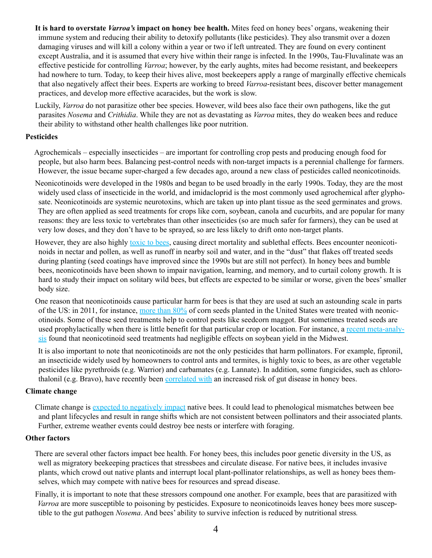**It is hard to overstate** *Varroa's* **impact on honey bee health.** Mites feed on honey bees' organs, weakening their immune system and reducing their ability to detoxify pollutants (like pesticides). They also transmit over a dozen damaging viruses and will kill a colony within a year or two if left untreated. They are found on every continent except Australia, and it is assumed that every hive within their range is infected. In the 1990s, Tau-Fluvalinate was an effective pesticide for controlling *Varroa*; however, by the early aughts, mites had become resistant, and beekeepers had nowhere to turn. Today, to keep their hives alive, most beekeepers apply a range of marginally effective chemicals that also negatively affect their bees. Experts are working to breed *Varroa*-resistant bees, discover better management practices, and develop more effective acaracides, but the work is slow.

Luckily, *Varroa* do not parasitize other bee species. However, wild bees also face their own pathogens, like the gut parasites *Nosema* and *Crithidia*. While they are not as devastating as *Varroa* mites, they do weaken bees and reduce their ability to withstand other health challenges like poor nutrition.

#### **Pesticides**

Agrochemicals – especially insecticides – are important for controlling crop pests and producing enough food for people, but also harm bees. Balancing pest-control needs with non-target impacts is a perennial challenge for farmers. However, the issue became super-charged a few decades ago, around a new class of pesticides called neonicotinoids.

Neonicotinoids were developed in the 1980s and began to be used broadly in the early 1990s. Today, they are the most widely used class of insecticide in the world, and imidacloprid is the most commonly used agrochemical after glyphosate. Neonicotinoids are systemic neurotoxins, which are taken up into plant tissue as the seed germinates and grows. They are often applied as seed treatments for crops like corn, soybean, canola and cucurbits, and are popular for many reasons: they are less toxic to vertebrates than other insecticides (so are much safer for farmers), they can be used at very low doses, and they don't have to be sprayed, so are less likely to drift onto non-target plants.

However, they are also highly [toxic to bees,](https://rss.onlinelibrary.wiley.com/doi/full/10.1111/j.1740-9713.2013.00658.x) causing direct mortality and sublethal effects. Bees encounter neonicotinoids in nectar and pollen, as well as runoff in nearby soil and water, and in the "dust" that flakes off treated seeds during planting (seed coatings have improved since the 1990s but are still not perfect). In honey bees and bumble bees, neonicotinoids have been shown to impair navigation, learning, and memory, and to curtail colony growth. It is hard to study their impact on solitary wild bees, but effects are expected to be similar or worse, given the bees' smaller body size.

One reason that neonicotinoids cause particular harm for bees is that they are used at such an astounding scale in parts of the US: in 2011, for instance, [more than 80%](https://link.springer.com/article/10.1007/s11356-017-9240-x) of corn seeds planted in the United States were treated with neonicotinoids. Some of these seed treatments help to control pests like seedcorn maggot. But sometimes treated seeds are used prophylactically when there is little benefit for that particular crop or location. For instance, a [recent meta-analy](https://www.nature.com/articles/s41598-019-47442-8)[sis](https://www.nature.com/articles/s41598-019-47442-8) found that neonicotinoid seed treatments had negligible effects on soybean yield in the Midwest.

It is also important to note that neonicotinoids are not the only pesticides that harm pollinators. For example, fipronil, an insecticide widely used by homeowners to control ants and termites, is highly toxic to bees, as are other vegetable pesticides like pyrethroids (e.g. Warrior) and carbamates (e.g. Lannate). In addition, some fungicides, such as chlorothalonil (e.g. Bravo), have recently been [correlated with](https://www.sciencedirect.com/science/article/pii/S0269749121001445) an increased risk of gut disease in honey bees.

#### **Climate change**

Climate change is [expected to negatively impact](https://www.science.org/doi/10.1126/science.1255957) native bees. It could lead to phenological mismatches between bee and plant lifecycles and result in range shifts which are not consistent between pollinators and their associated plants. Further, extreme weather events could destroy bee nests or interfere with foraging.

#### **Other factors**

There are several other factors impact bee health. For honey bees, this includes poor genetic diversity in the US, as well as migratory beekeeping practices that stressbees and circulate disease. For native bees, it includes invasive plants, which crowd out native plants and interrupt local plant-pollinator relationships, as well as honey bees themselves, which may compete with native bees for resources and spread disease.

Finally, it is important to note that these stressors compound one another. For example, bees that are parasitized with *Varroa* are more susceptible to poisoning by pesticides. Exposure to neonicotinoids leaves honey bees more susceptible to the gut pathogen *Nosema*. And bees' ability to survive infection is reduced by nutritional stress*.*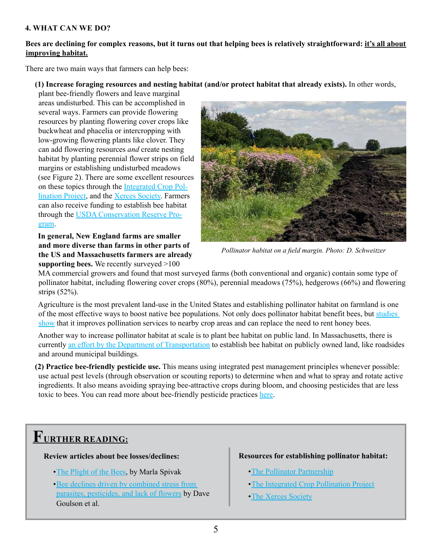#### **4. WHAT CAN WE DO?**

#### **Bees are declining for complex reasons, but it turns out that helping bees is relatively straightforward: it's all about improving habitat.**

There are two main ways that farmers can help bees:

#### **(1) Increase foraging resources and nesting habitat (and/or protect habitat that already exists).** In other words,

plant bee-friendly flowers and leave marginal areas undisturbed. This can be accomplished in several ways. Farmers can provide flowering resources by planting flowering cover crops like buckwheat and phacelia or intercropping with low-growing flowering plants like clover. They can add flowering resources *and* create nesting habitat by planting perennial flower strips on field margins or establishing undisturbed meadows (see Figure 2). There are some excellent resources on these topics through the [Integrated Crop Pol](https://www.youtube.com/channel/UCN0Z_G59MEi7IW4e1IfvkgA/videos)[lination Project,](https://www.youtube.com/channel/UCN0Z_G59MEi7IW4e1IfvkgA/videos) and the [Xerces Society.](https://www.xerces.org/publications/guidelines/farming-for-bees) Farmers can also receive funding to establish bee habitat through the [USDA Conservation Reserve Pro](https://www.fsa.usda.gov/Assets/USDA-FSA-Public/usdafiles/FactSheets/archived-fact-sheets/pollinator_habitat_initiative_jul2015.pdf)[gram.](https://www.fsa.usda.gov/Assets/USDA-FSA-Public/usdafiles/FactSheets/archived-fact-sheets/pollinator_habitat_initiative_jul2015.pdf)

**In general, New England farms are smaller and more diverse than farms in other parts of the US and Massachusetts farmers are already supporting bees.** We recently surveyed >100



*Pollinator habitat on a field margin. Photo: D. Schweitzer*

MA commercial growers and found that most surveyed farms (both conventional and organic) contain some type of pollinator habitat, including flowering cover crops (80%), perennial meadows (75%), hedgerows (66%) and flowering strips (52%).

Agriculture is the most prevalent land-use in the United States and establishing pollinator habitat on farmland is one of the most effective ways to boost native bee populations. Not only does pollinator habitat benefit bees, but [studies](https://www.science.org/doi/10.1126/science.1255957)  [show](https://www.science.org/doi/10.1126/science.1255957) that it improves pollination services to nearby crop areas and can replace the need to rent honey bees.

Another way to increase pollinator habitat at scale is to plant bee habitat on public land. In Massachusetts, there is currently [an effort by the Department of Transportation](https://www.mass.gov/info-details/sustainable-landscaping-at-state-facilities#pollinator-habitats-) to establish bee habitat on publicly owned land, like roadsides and around municipal buildings.

**(2) Practice bee-friendly pesticide use.** This means using integrated pest management principles whenever possible: use actual pest levels (through observation or scouting reports) to determine when and what to spray and rotate active ingredients. It also means avoiding spraying bee-attractive crops during bloom, and choosing pesticides that are less toxic to bees. You can read more about bee-friendly pesticide practices [here](https://ag.umass.edu/resources/pollinators/managing-landscapes-for-pollinators/pollinator-friendly-pest-management).

# **FURTHER READING:**

#### **Review articles about bee losses/declines:**

- •[The Plight of the Bees](https://pubs.acs.org/doi/10.1021/es101468w), by Marla Spivak
- •[Bee declines driven by combined stress from](https://www.science.org/doi/10.1126/science.1255957)  [parasites, pesticides, and lack of flowers](https://www.science.org/doi/10.1126/science.1255957) by Dave Goulson et al.

#### **Resources for establishing pollinator habitat:**

- •[The Pollinator Partnership](https://www.pollinator.org/bff/bff-us)
- •[The Integrated Crop Pollination Project](https://www.youtube.com/channel/UCN0Z_G59MEi7IW4e1IfvkgA/videos)
- •[The Xerces Society](https://www.xerces.org/publications/guidelines/farming-for-bees)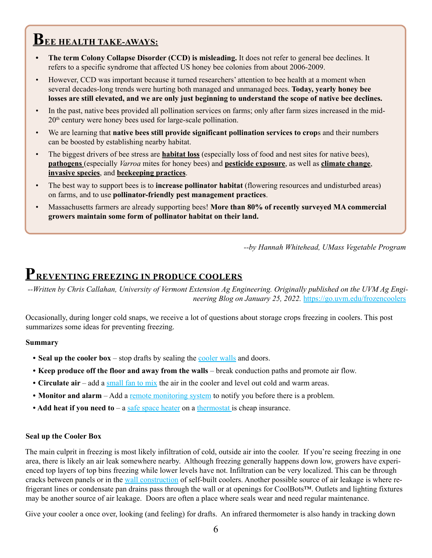# **BEE HEALTH TAKE-AWAYS:**

- **• The term Colony Collapse Disorder (CCD) is misleading.** It does not refer to general bee declines. It refers to a specific syndrome that affected US honey bee colonies from about 2006-2009.
- However, CCD was important because it turned researchers' attention to bee health at a moment when several decades-long trends were hurting both managed and unmanaged bees. **Today, yearly honey bee losses are still elevated, and we are only just beginning to understand the scope of native bee declines.**
- In the past, native bees provided all pollination services on farms; only after farm sizes increased in the mid-20th century were honey bees used for large-scale pollination.
- We are learning that **native bees still provide significant pollination services to crop**s and their numbers can be boosted by establishing nearby habitat.
- The biggest drivers of bee stress are **habitat loss** (especially loss of food and nest sites for native bees), **pathogens** (especially *Varroa* mites for honey bees) and **pesticide exposure**, as well as **climate change**, **invasive species**, and **beekeeping practices**.
- The best way to support bees is to **increase pollinator habitat** (flowering resources and undisturbed areas) on farms, and to use **pollinator-friendly pest management practices**.
- Massachusetts farmers are already supporting bees! **More than 80% of recently surveyed MA commercial growers maintain some form of pollinator habitat on their land.**

*--by Hannah Whitehead, UMass Vegetable Program*

# **PREVENTING FREEZING IN PRODUCE COOLERS**

*--Written by Chris Callahan, University of Vermont Extension Ag Engineering. Originally published on the UVM Ag Engineering Blog on January 25, 2022.* <https://go.uvm.edu/frozencoolers>

Occasionally, during longer cold snaps, we receive a lot of questions about storage crops freezing in coolers. This post summarizes some ideas for preventing freezing.

#### **Summary**

- **Seal up the cooler box** stop drafts by sealing the [cooler walls](http://go.uvm.edu/coolerwalls) and doors.
- **• Keep produce off the floor and away from the walls**  break conduction paths and promote air flow.
- **• Circulate air**  add a [small fan to mix](http://go.uvm.edu/warmrooms) the air in the cooler and level out cold and warm areas.
- **Monitor and alarm** Add a <u>remote monitoring system</u> to notify you before there is a problem.
- **Add heat if you need to** a [safe space heater](http://go.uvm.edu/warmrooms) on a [thermostat i](https://blog.uvm.edu/cwcallah/2016/05/03/thermostats-for-agriculture/)s cheap insurance.

#### **Seal up the Cooler Box**

The main culprit in freezing is most likely infiltration of cold, outside air into the cooler. If you're seeing freezing in one area, there is likely an air leak somewhere nearby. Although freezing generally happens down low, growers have experienced top layers of top bins freezing while lower levels have not. Infiltration can be very localized. This can be through cracks between panels or in the [wall construction](http://go.uvm.edu/coolerwalls) of self-built coolers. Another possible source of air leakage is where refrigerant lines or condensate pan drains pass through the wall or at openings for CoolBots™. Outlets and lighting fixtures may be another source of air leakage. Doors are often a place where seals wear and need regular maintenance.

Give your cooler a once over, looking (and feeling) for drafts. An infrared thermometer is also handy in tracking down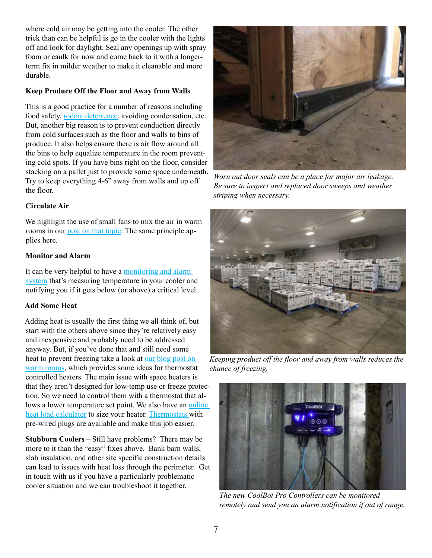where cold air may be getting into the cooler. The other trick than can be helpful is go in the cooler with the lights off and look for daylight. Seal any openings up with spray foam or caulk for now and come back to it with a longerterm fix in milder weather to make it cleanable and more durable.

#### **Keep Produce Off the Floor and Away from Walls**

This is a good practice for a number of reasons including food safety, [rodent deterrence,](http://go.uvm.edu/rats) avoiding condensation, etc. But, another big reason is to prevent conduction directly from cold surfaces such as the floor and walls to bins of produce. It also helps ensure there is air flow around all the bins to help equalize temperature in the room preventing cold spots. If you have bins right on the floor, consider stacking on a pallet just to provide some space underneath. Try to keep everything 4-6" away from walls and up off the floor.

#### **Circulate Air**

We highlight the use of small fans to mix the air in warm rooms in our [post on that topic.](http://go.uvm.edu/warmrooms) The same principle applies here.

#### **Monitor and Alarm**

It can be very helpful to have a monitoring and alarm [system](http://go.uvm.edu/monitoring) that's measuring temperature in your cooler and notifying you if it gets below (or above) a critical level.*.*

## **Add Some Heat**

Adding heat is usually the first thing we all think of, but start with the others above since they're relatively easy and inexpensive and probably need to be addressed anyway. But, if you've done that and still need some heat to prevent freezing take a look at our blog post on [warm rooms](https://go.uvm.edu/warmrooms), which provides some ideas for thermostat controlled heaters. The main issue with space heaters is that they aren't designed for low-temp use or freeze protection. So we need to control them with a thermostat that allows a lower temperature set point. We also have an online [heat load calculator](https://go.uvm.edu/heatcoolload) to size your heater. [Thermostats](http://go.uvm.edu/thermostats) with pre-wired plugs are available and make this job easier.

**Stubborn Coolers** – Still have problems? There may be more to it than the "easy" fixes above. Bank barn walls, slab insulation, and other site specific construction details can lead to issues with heat loss through the perimeter. Get in touch with us if you have a particularly problematic cooler situation and we can troubleshoot it together.



*Worn out door seals can be a place for major air leakage. Be sure to inspect and replaced door sweeps and weather striping when necessary.*



*Keeping product off the floor and away from walls reduces the chance of freezing.*



*The new CoolBot Pro Controllers can be monitored remotely and send you an alarm notification if out of range.*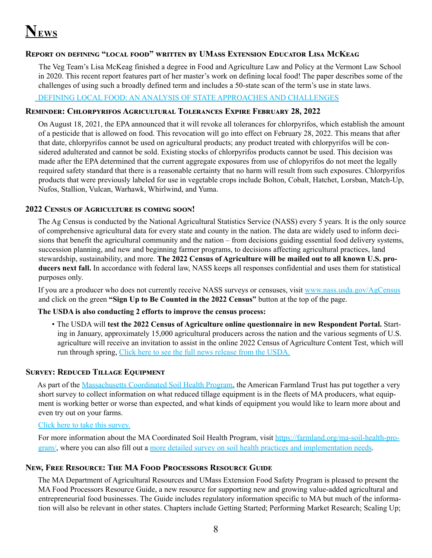# **NEWS**

## **Report on defining "local food" written by UMass Extension Educator Lisa McKeag**

 The Veg Team's Lisa McKeag finished a degree in Food and Agriculture Law and Policy at the Vermont Law School in 2020. This recent report features part of her master's work on defining local food! The paper describes some of the challenges of using such a broadly defined term and includes a 50-state scan of the term's use in state laws.

#### [DEFINING LOCAL FOOD: AN ANALYSIS OF STATE APPROACHES AND CHALLENGES](https://www.vermontlaw.edu/academics/centers-and-programs/center-for-agriculture-and-food-systems/reports/defining-local-food)

### **Reminder: Chlorpyrifos Agricultural Tolerances Expire February 28, 2022**

On August 18, 2021, the EPA announced that it will revoke all tolerances for chlorpyrifos, which establish the amount of a pesticide that is allowed on food. This revocation will go into effect on February 28, 2022. This means that after that date, chlorpyrifos cannot be used on agricultural products; any product treated with chlorpyrifos will be considered adulterated and cannot be sold. Existing stocks of chlorpyrifos products cannot be used. This decision was made after the EPA determined that the current aggregate exposures from use of chlopyrifos do not meet the legally required safety standard that there is a reasonable certainty that no harm will result from such exposures. Chlorpyrifos products that were previously labeled for use in vegetable crops include Bolton, Cobalt, Hatchet, Lorsban, Match-Up, Nufos, Stallion, Vulcan, Warhawk, Whirlwind, and Yuma.

#### **2022 Census of Agriculture is coming soon!**

The Ag Census is conducted by the National Agricultural Statistics Service (NASS) every 5 years. It is the only source of comprehensive agricultural data for every state and county in the nation. The data are widely used to inform decisions that benefit the agricultural community and the nation – from decisions guiding essential food delivery systems, succession planning, and new and beginning farmer programs, to decisions affecting agricultural practices, land stewardship, sustainability, and more. **The 2022 Census of Agriculture will be mailed out to all known U.S. producers next fall.** In accordance with federal law, NASS keeps all responses confidential and uses them for statistical purposes only.

If you are a producer who does not currently receive NASS surveys or censuses, visit [www.nass.usda.gov/AgCensus](http://www.nass.usda.gov/AgCensus) and click on the green **"Sign Up to Be Counted in the 2022 Census"** button at the top of the page.

#### **The USDA is also conducting 2 efforts to improve the census process:**

• The USDA will **test the 2022 Census of Agriculture online questionnaire in new Respondent Portal.** Starting in January, approximately 15,000 agricultural producers across the nation and the various segments of U.S. agriculture will receive an invitation to assist in the online 2022 Census of Agriculture Content Test, which will run through spring, [Click here to see the full news release from the USDA.](https://www.nass.usda.gov/Newsroom/2021/12-16-2021.php)

## **Survey: Reduced Tillage Equipment**

As part of the [Massachusetts Coordinated Soil Health Program,](https://farmland.org/ma-soil-health-program/) the American Farmland Trust has put together a very short survey to collect information on what reduced tillage equipment is in the fleets of MA producers, what equipment is working better or worse than expected, and what kinds of equipment you would like to learn more about and even try out on your farms.

#### [Click here to take this survey.](https://www.surveymonkey.com/r/SoilHealthEquipment)

For more information about the MA Coordinated Soil Health Program, visit [https://farmland.org/ma-soil-health-pro](https://farmland.org/ma-soil-health-program/)[gram/,](https://farmland.org/ma-soil-health-program/) where you can also fill out a [more detailed survey on soil health practices and implementation needs](https://farmland.org/ma-soil-health-program/).

#### **New, Free Resource: The MA Food Processors Resource Guide**

The MA Department of Agricultural Resources and UMass Extension Food Safety Program is pleased to present the MA Food Processors Resource Guide, a new resource for supporting new and growing value-added agricultural and entrepreneurial food businesses. The Guide includes regulatory information specific to MA but much of the information will also be relevant in other states. Chapters include Getting Started; Performing Market Research; Scaling Up;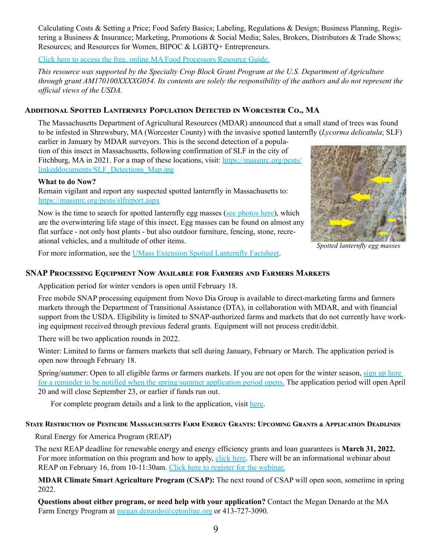Calculating Costs & Setting a Price; Food Safety Basics; Labeling, Regulations & Design; Business Planning, Registering a Business & Insurance; Marketing, Promotions & Social Media; Sales, Brokers, Distributors & Trade Shows; Resources; and Resources for Women, BIPOC & LGBTQ+ Entrepreneurs.

[Click here to access the free, online MA Food Processors Resource Guide.](https://www.mass.gov/forms/the-massachusetts-food-processors-resource-guide)

*This resource was supported by the Specialty Crop Block Grant Program at the U.S. Department of Agriculture through grant AM170100XXXXG054. Its contents are solely the responsibility of the authors and do not represent the official views of the USDA.*

## **Additional Spotted Lanternfly Population Detected in Worcester Co., MA**

The Massachusetts Department of Agricultural Resources (MDAR) announced that a small stand of trees was found to be infested in Shrewsbury, MA (Worcester County) with the invasive spotted lanternfly (*Lycorma delicatula*; SLF)

earlier in January by MDAR surveyors. This is the second detection of a population of this insect in Massachusetts, following confirmation of SLF in the city of Fitchburg, MA in 2021. For a map of these locations, visit: [https://massnrc.org/pests/](https://umass.us2.list-manage.com/track/click?u=44869c320d4a0efb32838fcf5&id=b84e73bb12&e=2cef79c3f4) [linkeddocuments/SLF\\_Detections\\_Map.jpg](https://umass.us2.list-manage.com/track/click?u=44869c320d4a0efb32838fcf5&id=b84e73bb12&e=2cef79c3f4)

#### **What to do Now?**

Remain vigilant and report any suspected spotted lanternfly in Massachusetts to: [https://massnrc.org/pests/slfreport.aspx](https://umass.us2.list-manage.com/track/click?u=44869c320d4a0efb32838fcf5&id=6f3af481bb&e=2cef79c3f4)



*Spotted lanternfly egg masses*

Now is the time to search for spotted lanternfly egg masses ([see photos here](https://massnrc.org/pests/linkeddocuments/SLFChecklistForResidents.pdf)), which are the overwintering life stage of this insect. Egg masses can be found on almost any flat surface - not only host plants - but also outdoor furniture, fencing, stone, recreational vehicles, and a multitude of other items.

For more information, see the [UMass](https://umass.us2.list-manage.com/track/click?u=44869c320d4a0efb32838fcf5&id=86d0efb78f&e=2cef79c3f4) Extension [Spotted Lanternfly Factsheet.](https://umass.us2.list-manage.com/track/click?u=44869c320d4a0efb32838fcf5&id=7ea9407035&e=2cef79c3f4)

#### **SNAP Processing Equipment Now Available for Farmers and Farmers Markets**

Application period for winter vendors is open until February 18.

Free mobile SNAP processing equipment from Novo Dia Group is available to direct-marketing farms and farmers markets through the Department of Transitional Assistance (DTA), in collaboration with MDAR, and with financial support from the USDA. Eligibility is limited to SNAP-authorized farms and markets that do not currently have working equipment received through previous federal grants. Equipment will not process credit/debit.

There will be two application rounds in 2022.

Winter: Limited to farms or farmers markets that sell during January, February or March. The application period is open now through February 18.

Spring/summer: Open to all eligible farms or farmers markets. If you are not open for the winter season, [sign up here](https://massgov.formstack.com/forms/snap_equipment_grant_interest_form_spring_summer_2022)  [for a reminder to be notified when the spring/summer application period opens.](https://massgov.formstack.com/forms/snap_equipment_grant_interest_form_spring_summer_2022) The application period will open April 20 and will close September 23, or earlier if funds run out.

For complete program details and a link to the application, visit [here](https://www.mass.gov/service-details/massachusetts-ebtsnap-equipment-grant-program).

#### **State Restriction of Pesticide Massachusetts Farm Energy Grants: Upcoming Grants & Application Deadlines**

Rural Energy for America Program (REAP)

The next REAP deadline for renewable energy and energy efficiency grants and loan guarantees is **March 31, 2022.**  For more information on this program and how to apply, [click here.](https://www.rd.usda.gov/programs-services/energy-programs/rural-energy-america-program-renewable-energy-systems-energy-efficiency-improvement-guaranteed-loans) There will be an informational webinar about REAP on February 16, from 10-11:30am. [Click here to register for the webinar.](https://us02web.zoom.us/webinar/register/WN_Fc-9sv6aQ_WqlNOqn6DTog)

**MDAR Climate Smart Agriculture Program (CSAP):** The next round of CSAP will open soon, sometime in spring 2022.

**Questions about either program, or need help with your application?** Contact the Megan Denardo at the MA Farm Energy Program at [megan.denardo@cetonline.org](mailto:megan.denardo@cetonline.org) or 413-727-3090.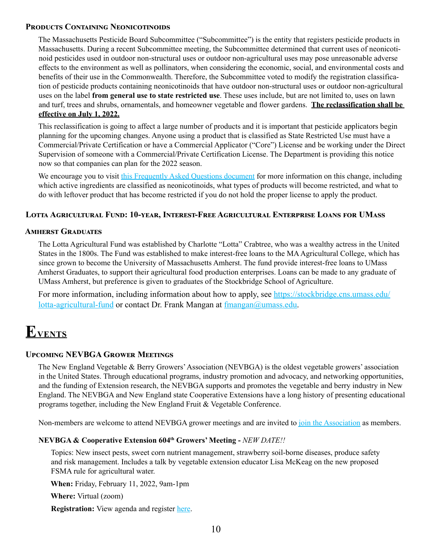#### **Products Containing Neonicotinoids**

The Massachusetts Pesticide Board Subcommittee ("Subcommittee") is the entity that registers pesticide products in Massachusetts. During a recent Subcommittee meeting, the Subcommittee determined that current uses of neonicotinoid pesticides used in outdoor non-structural uses or outdoor non-agricultural uses may pose unreasonable adverse effects to the environment as well as pollinators, when considering the economic, social, and environmental costs and benefits of their use in the Commonwealth. Therefore, the Subcommittee voted to modify the registration classification of pesticide products containing neonicotinoids that have outdoor non-structural uses or outdoor non-agricultural uses on the label **from general use to state restricted use**. These uses include, but are not limited to, uses on lawn and turf, trees and shrubs, ornamentals, and homeowner vegetable and flower gardens. **The reclassification shall be effective on July 1, 2022.**

This reclassification is going to affect a large number of products and it is important that pesticide applicators begin planning for the upcoming changes. Anyone using a product that is classified as State Restricted Use must have a Commercial/Private Certification or have a Commercial Applicator ("Core") License and be working under the Direct Supervision of someone with a Commercial/Private Certification License. The Department is providing this notice now so that companies can plan for the 2022 season.

We encourage you to visit [this Frequently Asked Questions document](https://www.mass.gov/doc/neonicotinoid-faq/download) for more information on this change, including which active ingredients are classified as neonicotinoids, what types of products will become restricted, and what to do with leftover product that has become restricted if you do not hold the proper license to apply the product.

#### **Lotta Agricultural Fund: 10-year, Interest-Free Agricultural Enterprise Loans for UMass**

#### **Amherst Graduates**

The Lotta Agricultural Fund was established by Charlotte "Lotta" Crabtree, who was a wealthy actress in the United States in the 1800s. The Fund was established to make interest-free loans to the MA Agricultural College, which has since grown to become the University of Massachusetts Amherst. The fund provide interest-free loans to UMass Amherst Graduates, to support their agricultural food production enterprises. Loans can be made to any graduate of UMass Amherst, but preference is given to graduates of the Stockbridge School of Agriculture.

For more information, including information about how to apply, see [https://stockbridge.cns.umass.edu/](https://stockbridge.cns.umass.edu/lotta-agricultural-fund) [lotta-agricultural-fund](https://stockbridge.cns.umass.edu/lotta-agricultural-fund) or contact Dr. Frank Mangan at [fmangan@umass.edu](mailto:fmangan@umass.edu).

# **EVENTS**

#### **Upcoming NEVBGA Grower Meetings**

The New England Vegetable & Berry Growers' Association (NEVBGA) is the oldest vegetable growers' association in the United States. Through educational programs, industry promotion and advocacy, and networking opportunities, and the funding of Extension research, the NEVBGA supports and promotes the vegetable and berry industry in New England. The NEVBGA and New England state Cooperative Extensions have a long history of presenting educational programs together, including the New England Fruit & Vegetable Conference.

Non-members are welcome to attend NEVBGA grower meetings and are invited to [join the Association](https://nevbga.com/member_application/) as members.

#### **NEVBGA & Cooperative Extension 604th Growers' Meeting -** *NEW DATE!!*

Topics: New insect pests, sweet corn nutrient management, strawberry soil-borne diseases, produce safety and risk management. Includes a talk by vegetable extension educator Lisa McKeag on the new proposed FSMA rule for agricultural water.

**When:** Friday, February 11, 2022, 9am-1pm

**Where:** Virtual (zoom)

 **Registration:** View agenda and register [here.](https://ag.umass.edu/vegetable/events/nevbga-cooperative-extension-604th-growers-meeting)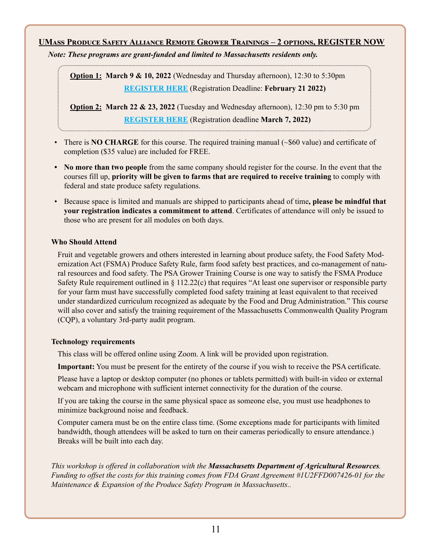### **UMass Produce Safety Alliance Remote Grower Trainings – 2 options, REGISTER NOW**

*Note: These programs are grant-funded and limited to Massachusetts residents only.* 

**Option 1: March 9 & 10, 2022** (Wednesday and Thursday afternoon), 12:30 to 5:30pm **[REGISTER HERE](https://ag.umass.edu/food-safety/events/umass-produce-safety-alliance-remote-grower-training-march-910-2022)** (Registration Deadline: **February 21 2022)**

**Option 2: March 22 & 23, 2022** (Tuesday and Wednesday afternoon), 12:30 pm to 5:30 pm **[REGISTER HERE](https://ag.umass.edu/food-safety/events/umass-produce-safety-alliance-remote-grower-training-march-2223-2022)** (Registration deadline **March 7, 2022)** 

• There is **NO CHARGE** for this course. The required training manual  $(\sim 600)$  value) and certificate of completion (\$35 value) are included for FREE.

- **• No more than two people** from the same company should register for the course. In the event that the courses fill up, **priority will be given to farms that are required to receive training** to comply with federal and state produce safety regulations.
- Because space is limited and manuals are shipped to participants ahead of time**, please be mindful that your registration indicates a commitment to attend**. Certificates of attendance will only be issued to those who are present for all modules on both days.

#### **Who Should Attend**

Fruit and vegetable growers and others interested in learning about produce safety, the Food Safety Modernization Act (FSMA) Produce Safety Rule, farm food safety best practices, and co-management of natural resources and food safety. The PSA Grower Training Course is one way to satisfy the FSMA Produce Safety Rule requirement outlined in  $\S 112.22(c)$  that requires "At least one supervisor or responsible party for your farm must have successfully completed food safety training at least equivalent to that received under standardized curriculum recognized as adequate by the Food and Drug Administration." This course will also cover and satisfy the training requirement of the Massachusetts Commonwealth Quality Program (CQP), a voluntary 3rd-party audit program.

#### **Technology requirements**

This class will be offered online using Zoom. A link will be provided upon registration.

**Important:** You must be present for the entirety of the course if you wish to receive the PSA certificate.

Please have a laptop or desktop computer (no phones or tablets permitted) with built-in video or external webcam and microphone with sufficient internet connectivity for the duration of the course.

If you are taking the course in the same physical space as someone else, you must use headphones to minimize background noise and feedback.

Computer camera must be on the entire class time. (Some exceptions made for participants with limited bandwidth, though attendees will be asked to turn on their cameras periodically to ensure attendance.) Breaks will be built into each day.

*This workshop is offered in collaboration with the Massachusetts Department of Agricultural Resources. Funding to offset the costs for this training comes from FDA Grant Agreement #1U2FFD007426-01 for the Maintenance & Expansion of the Produce Safety Program in Massachusetts..*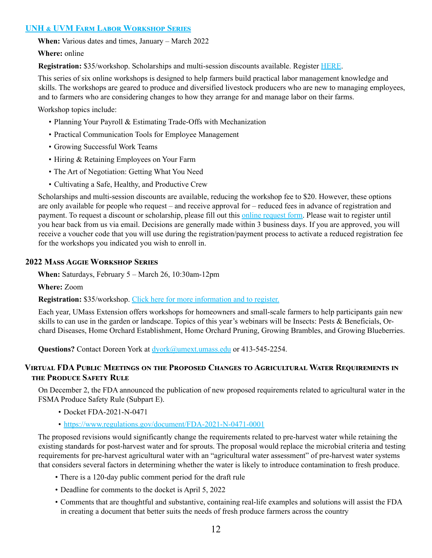#### **[UNH & UVM Farm Labor Workshop Series](https://www.uvm.edu/aglabor/dashboard/2022-farm-labor-workshop-series?utm_source=AdaptiveMailer&utm_medium=email&utm_campaign=New Hampshire Agriculture Update&org=785&lvl=100&ite=18859&lea=3401975&ctr=0&par=1&trk=a0W6f00000WgqNaEAJ)**

**When:** Various dates and times, January – March 2022

**Where:** online

**Registration:** \$35/workshop. Scholarships and multi-session discounts available. Register [HERE.](https://catalog.extension.org/catalog?pagename=FarmLabor)

This series of six online workshops is designed to help farmers build practical labor management knowledge and skills. The workshops are geared to produce and diversified livestock producers who are new to managing employees, and to farmers who are considering changes to how they arrange for and manage labor on their farms.

Workshop topics include:

- Planning Your Payroll & Estimating Trade-Offs with Mechanization
- Practical Communication Tools for Employee Management
- Growing Successful Work Teams
- Hiring & Retaining Employees on Your Farm
- The Art of Negotiation: Getting What You Need
- Cultivating a Safe, Healthy, and Productive Crew

Scholarships and multi-session discounts are available, reducing the workshop fee to \$20. However, these options are only available for people who request – and receive approval for – reduced fees in advance of registration and payment. To request a discount or scholarship, please fill out this [online request form](https://www.uvm.edu/aglabor/dashboard/fee-discount-request). Please wait to register until you hear back from us via email. Decisions are generally made within 3 business days. If you are approved, you will receive a voucher code that you will use during the registration/payment process to activate a reduced registration fee for the workshops you indicated you wish to enroll in.

#### **2022 Mass Aggie Workshop Series**

**When:** Saturdays, February 5 – March 26, 10:30am-12pm

**Where:** Zoom

**Registration:** \$35/workshop. [Click here for more information and to register.](https://ag.umass.edu/fruit/news-events/mass-aggie-seminars-2022)

Each year, UMass Extension offers workshops for homeowners and small-scale farmers to help participants gain new skills to can use in the garden or landscape. Topics of this year's webinars will be Insects: Pests & Beneficials, Orchard Diseases, Home Orchard Establishment, Home Orchard Pruning, Growing Brambles, and Growing Blueberries.

Questions? Contact Doreen York at dvork@umext.umass.edu or 413-545-2254.

#### **Virtual FDA Public Meetings on the Proposed Changes to Agricultural Water Requirements in the Produce Safety Rule**

On December 2, the FDA announced the publication of new proposed requirements related to agricultural water in the FSMA Produce Safety Rule (Subpart E).

- Docket FDA-2021-N-0471
- <https://www.regulations.gov/document/FDA-2021-N-0471-0001>

The proposed revisions would significantly change the requirements related to pre-harvest water while retaining the existing standards for post-harvest water and for sprouts. The proposal would replace the microbial criteria and testing requirements for pre-harvest agricultural water with an "agricultural water assessment" of pre-harvest water systems that considers several factors in determining whether the water is likely to introduce contamination to fresh produce.

- There is a 120-day public comment period for the draft rule
- Deadline for comments to the docket is April 5, 2022
- Comments that are thoughtful and substantive, containing real-life examples and solutions will assist the FDA in creating a document that better suits the needs of fresh produce farmers across the country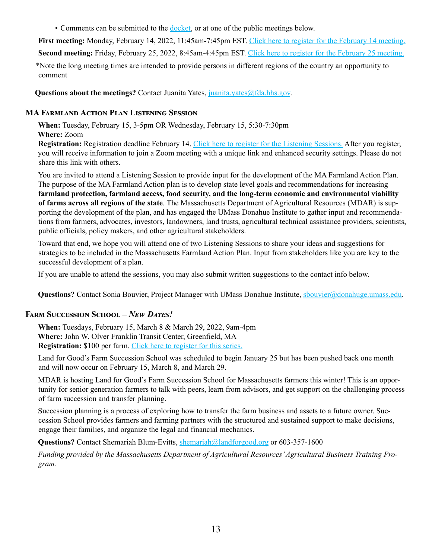• Comments can be submitted to the [docket](https://www.regulations.gov/document/FDA-2021-N-0471-0001), or at one of the public meetings below.

**First meeting:** Monday, February 14, 2022, 11:45am-7:45pm EST. [Click here to register for the February 14 meeting.](https://www.surveymonkey.com/r/XTRNRKP?utm_medium=email&utm_source=govdelivery) **Second meeting:** Friday, February 25, 2022, 8:45am-4:45pm EST. [Click here to register for the February 25 meeting.](https://www.surveymonkey.com/r/PYNDXWR?utm_medium=email&utm_source=govdelivery)

\*Note the long meeting times are intended to provide persons in different regions of the country an opportunity to comment

**Questions about the meetings?** Contact Juanita Yates, [juanita.yates@fda.hhs.gov.](mailto:juanita.yates@fda.hhs.gov)

#### **MA Farmland Action Plan Listening Session**

**When:** Tuesday, February 15, 3-5pm OR Wednesday, February 15, 5:30-7:30pm **Where:** Zoom

**Registration:** Registration deadline February 14. [Click here to register for the Listening Sessions.](https://docs.google.com/forms/d/e/1FAIpQLScXZdpPS0TU2Mxv68t5TLlLNcyWU_DwSLdywklubEv-soIIyw/viewform?usp=sf_link) After you register, you will receive information to join a Zoom meeting with a unique link and enhanced security settings. Please do not share this link with others.

You are invited to attend a Listening Session to provide input for the development of the MA Farmland Action Plan. The purpose of the MA Farmland Action plan is to develop state level goals and recommendations for increasing **farmland protection, farmland access, food security, and the long-term economic and environmental viability of farms across all regions of the state**. The Massachusetts Department of Agricultural Resources (MDAR) is supporting the development of the plan, and has engaged the UMass Donahue Institute to gather input and recommendations from farmers, advocates, investors, landowners, land trusts, agricultural technical assistance providers, scientists, public officials, policy makers, and other agricultural stakeholders.

Toward that end, we hope you will attend one of two Listening Sessions to share your ideas and suggestions for strategies to be included in the Massachusetts Farmland Action Plan. Input from stakeholders like you are key to the successful development of a plan.

If you are unable to attend the sessions, you may also submit written suggestions to the contact info below.

Questions? Contact Sonia Bouvier, Project Manager with UMass Donahue Institute, [sbouvier@donahuge.umass.edu.](mailto:sbouvier@donahuge.umass.edu)

#### **Farm Succession School –** *New Dates!*

**When:** Tuesdays, February 15, March 8 & March 29, 2022, 9am-4pm **Where:** John W. Olver Franklin Transit Center, Greenfield, MA **Registration:** \$100 per farm. [Click here to register for this series.](https://urldefense.com/v3/__http:/events.constantcontact.com/register/event?llr=aaucr9cab&oeidk=a07eiud9yyqc93d9d76__;!!CUhgQOZqV7M!xhPaQ0UdJB7YSMi3K_ZLzx2COGLLUpyJKzRRy1I-rWwTssEm662cnfGL-lJVRqEQtnhR4lA$)

Land for Good's Farm Succession School was scheduled to begin January 25 but has been pushed back one month and will now occur on February 15, March 8, and March 29.

MDAR is hosting Land for Good's Farm Succession School for Massachusetts farmers this winter! This is an opportunity for senior generation farmers to talk with peers, learn from advisors, and get support on the challenging process of farm succession and transfer planning.

Succession planning is a process of exploring how to transfer the farm business and assets to a future owner. Succession School provides farmers and farming partners with the structured and sustained support to make decisions, engage their families, and organize the legal and financial mechanics.

**Questions?** Contact Shemariah Blum-Evitts, [shemariah@landforgood.org](mailto:shemariah@landforgood.org) or 603-357-1600

*Funding provided by the Massachusetts Department of Agricultural Resources' Agricultural Business Training Program.*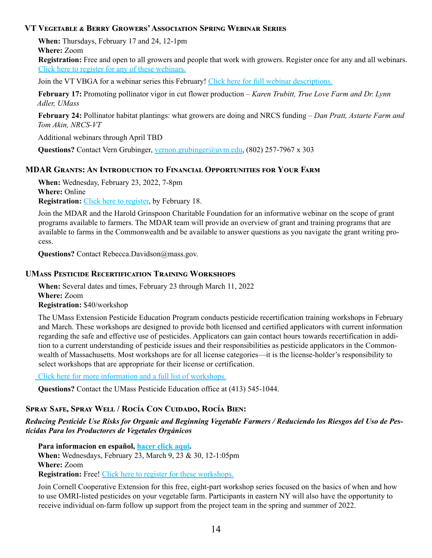#### **VT Vegetable & Berry Growers' Association Spring Webinar Series**

**When:** Thursdays, February 17 and 24, 12-1pm

**Where:** Zoom

**Registration:** Free and open to all growers and people that work with growers. Register once for any and all webinars. [Click here to register for any of these webinars.](https://us02web.zoom.us/meeting/register/tZAkduivqT0uH9Zgl1rcGWraj30Q1mU1oSjG?_x_zm_rtaid=oS1D1oNKSuSBaQdEdptGvw.1643719295423.9d1f1e847dbf96021ba43e20d5256aa2&_x_zm_rhtaid=284)

Join the VT VBGA for a webinar series this February! [Click here for full webinar descriptions.](https://www.uvm.edu/sites/default/files/UVM-Extension-Cultivating-Healthy-Communities/horticulture/webinars/Spring2022Webinars.pdf)

**February 17:** Promoting pollinator vigor in cut flower production – *Karen Trubitt, True Love Farm and Dr. Lynn Adler, UMass*

**February 24:** Pollinator habitat plantings: what growers are doing and NRCS funding – *Dan Pratt, Astarte Farm and Tom Akin, NRCS-VT*

Additional webinars through April TBD

Questions? Contact Vern Grubinger, [vernon.grubinger@uvm.edu,](mailto:vernon.grubinger@uvm.edu) (802) 257-7967 x 303

#### **MDAR Grants: An Introduction to Financial Opportunities for Your Farm**

**When:** Wednesday, February 23, 2022, 7-8pm **Where:** Online **Registration:** [Click here to register,](https://forms.office.com/pages/responsepage.aspx?id=Fh2GPrdIDkqYBowE2Bt7KhBwM873mjNOnjA8gOAv8YJUMkpGSkEyVjc5VENHNlI4MFhMQkk2TENEMi4u&web=1&wdLOR=cF4E1A7B4-3034-4C4F-BE46-13D5542A3FEB) by February 18.

Join the MDAR and the Harold Grinspoon Charitable Foundation for an informative webinar on the scope of grant programs available to farmers. The MDAR team will provide an overview of grant and training programs that are available to farms in the Commonwealth and be available to answer questions as you navigate the grant writing process.

**Questions?** Contact Rebecca.Davidson@mass.gov.

#### **UMass Pesticide Recertification Training Workshops**

**When:** Several dates and times, February 23 through March 11, 2022 **Where:** Zoom **Registration:** \$40/workshop

The UMass Extension Pesticide Education Program conducts pesticide recertification training workshops in February and March. These workshops are designed to provide both licensed and certified applicators with current information regarding the safe and effective use of pesticides. Applicators can gain contact hours towards recertification in addition to a current understanding of pesticide issues and their responsibilities as pesticide applicators in the Commonwealth of Massachusetts. Most workshops are for all license categories—it is the license-holder's responsibility to select workshops that are appropriate for their license or certification.

[Click here for more information and a full list of workshops.](https://ag.umass.edu/services/pesticide-education/pesticide-recertification-training-workshops)

**Questions?** Contact the UMass Pesticide Education office at (413) 545-1044.

## **Spray Safe, Spray Well / Rocía Con Cuidado, Rocía Bien:**

#### *Reducing Pesticide Use Risks for Organic and Beginning Vegetable Farmers / Reduciendo los Riesgos del Uso de Pesticidas Para los Productores de Vegetales Orgánicos*

**Para informacíon en español, [hacer click aqui.](https://uconnextension.my.salesforce.com/sfc/p/#4x000000JUOn/a/4x000000ZOws/4bbmTFriecTpe3a2XaZvv0MaebdWnkS7d7q8PY0RMhA)**

**When:** Wednesdays, February 23, March 9, 23 & 30, 12-1:05pm **Where:** Zoom **Registration:** Free! [Click here to register for these workshops.](file:https://uconnextension.my.salesforce.com/sfc/p/%234x000000JUOn/a/4x000000ZOws/4bbmTFriecTpe3a2XaZvv0MaebdWnkS7d7q8PY0RMhA)

Join Cornell Cooperative Extension for this free, eight-part workshop series focused on the basics of when and how to use OMRI-listed pesticides on your vegetable farm. Participants in eastern NY will also have the opportunity to receive individual on-farm follow up support from the project team in the spring and summer of 2022.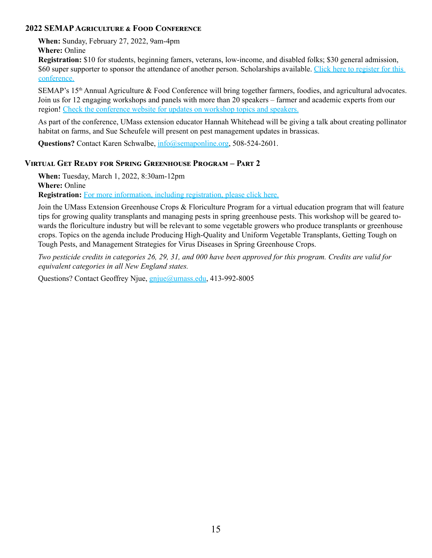#### **2022 SEMAP Agriculture & Food Conference**

**When:** Sunday, February 27, 2022, 9am-4pm

**Where:** Online

**Registration:** \$10 for students, beginning famers, veterans, low-income, and disabled folks; \$30 general admission, \$60 super supporter to sponsor the attendance of another person. Scholarships available. Click here to register for this [conference.](https://events.r20.constantcontact.com/register/eventReg?oeidk=a07eitvg2ds76088849&oseq=&c=&ch=)

SEMAP's 15<sup>th</sup> Annual Agriculture & Food Conference will bring together farmers, foodies, and agricultural advocates. Join us for 12 engaging workshops and panels with more than 20 speakers – farmer and academic experts from our region! [Check the conference website for updates on workshop topics and speakers.](https://semaponline.org/programs/2022-agriculture-food-conference/)

As part of the conference, UMass extension educator Hannah Whitehead will be giving a talk about creating pollinator habitat on farms, and Sue Scheufele will present on pest management updates in brassicas.

**Questions?** Contact Karen Schwalbe,  $\frac{info(@semaponline.org, 508-524-2601)}{m}$ .

## **Virtual Get Ready for Spring Greenhouse Program – Part 2**

**When:** Tuesday, March 1, 2022, 8:30am-12pm **Where:** Online **Registration:** [For more information, including registration, please click here.](https://ag.umass.edu/greenhouse-floriculture/events/2022-virtual-get-ready-for-spring-greenhouse-program-part-2)

Join the UMass Extension Greenhouse Crops & Floriculture Program for a virtual education program that will feature tips for growing quality transplants and managing pests in spring greenhouse pests. This workshop will be geared towards the floriculture industry but will be relevant to some vegetable growers who produce transplants or greenhouse crops. Topics on the agenda include Producing High-Quality and Uniform Vegetable Transplants, Getting Tough on Tough Pests, and Management Strategies for Virus Diseases in Spring Greenhouse Crops.

*Two pesticide credits in categories 26, 29, 31, and 000 have been approved for this program. Credits are valid for equivalent categories in all New England states.*

Questions? Contact Geoffrey Njue, [gnjue@umass.edu](mailto:gnjue@umass.edu), 413-992-8005